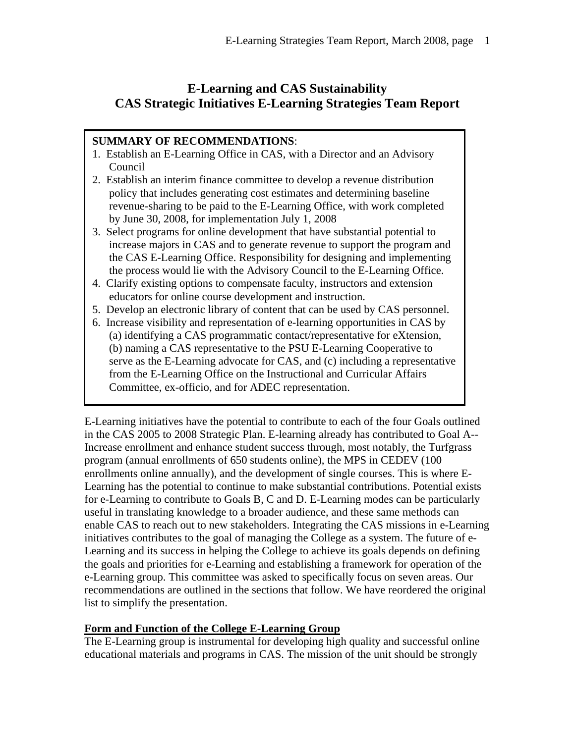# **E-Learning and CAS Sustainability CAS Strategic Initiatives E-Learning Strategies Team Report**

# **SUMMARY OF RECOMMENDATIONS**:

- 1. Establish an E-Learning Office in CAS, with a Director and an Advisory Council
- 2. Establish an interim finance committee to develop a revenue distribution policy that includes generating cost estimates and determining baseline revenue-sharing to be paid to the E-Learning Office, with work completed by June 30, 2008, for implementation July 1, 2008
- 3. Select programs for online development that have substantial potential to increase majors in CAS and to generate revenue to support the program and the CAS E-Learning Office. Responsibility for designing and implementing the process would lie with the Advisory Council to the E-Learning Office.
- 4. Clarify existing options to compensate faculty, instructors and extension educators for online course development and instruction.
- 5. Develop an electronic library of content that can be used by CAS personnel.
- 6. Increase visibility and representation of e-learning opportunities in CAS by (a) identifying a CAS programmatic contact/representative for eXtension, (b) naming a CAS representative to the PSU E-Learning Cooperative to serve as the E-Learning advocate for CAS, and (c) including a representative from the E-Learning Office on the Instructional and Curricular Affairs Committee, ex-officio, and for ADEC representation.

E-Learning initiatives have the potential to contribute to each of the four Goals outlined in the CAS 2005 to 2008 Strategic Plan. E-learning already has contributed to Goal A-- Increase enrollment and enhance student success through, most notably, the Turfgrass program (annual enrollments of 650 students online), the MPS in CEDEV (100 enrollments online annually), and the development of single courses. This is where E-Learning has the potential to continue to make substantial contributions. Potential exists for e-Learning to contribute to Goals B, C and D. E-Learning modes can be particularly useful in translating knowledge to a broader audience, and these same methods can enable CAS to reach out to new stakeholders. Integrating the CAS missions in e-Learning initiatives contributes to the goal of managing the College as a system. The future of e-Learning and its success in helping the College to achieve its goals depends on defining the goals and priorities for e-Learning and establishing a framework for operation of the e-Learning group. This committee was asked to specifically focus on seven areas. Our recommendations are outlined in the sections that follow. We have reordered the original list to simplify the presentation.

# **Form and Function of the College E-Learning Group**

The E-Learning group is instrumental for developing high quality and successful online educational materials and programs in CAS. The mission of the unit should be strongly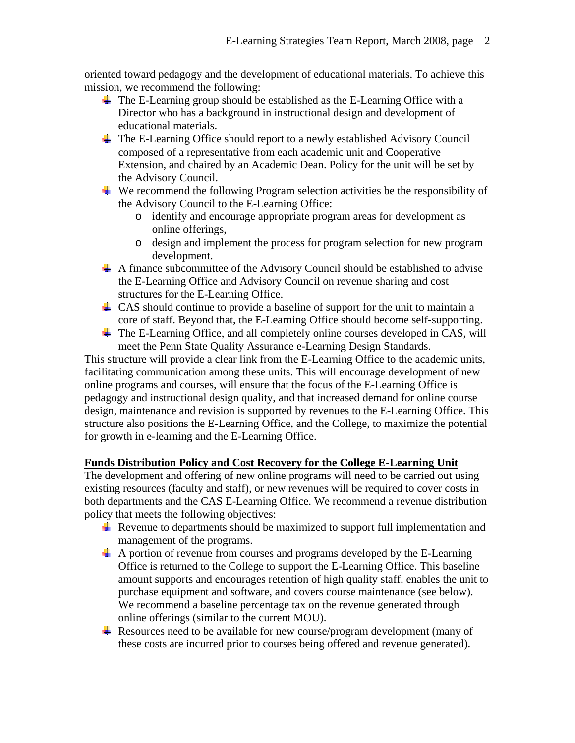oriented toward pedagogy and the development of educational materials. To achieve this mission, we recommend the following:

- $\overline{\phantom{a}}$  The E-Learning group should be established as the E-Learning Office with a Director who has a background in instructional design and development of educational materials.
- The E-Learning Office should report to a newly established Advisory Council composed of a representative from each academic unit and Cooperative Extension, and chaired by an Academic Dean. Policy for the unit will be set by the Advisory Council.
- $\ddot{\text{I}}$  We recommend the following Program selection activities be the responsibility of the Advisory Council to the E-Learning Office:
	- o identify and encourage appropriate program areas for development as online offerings,
	- o design and implement the process for program selection for new program development.
- $\overline{\text{4}}$  A finance subcommittee of the Advisory Council should be established to advise the E-Learning Office and Advisory Council on revenue sharing and cost structures for the E-Learning Office.
- $\perp$  CAS should continue to provide a baseline of support for the unit to maintain a core of staff. Beyond that, the E-Learning Office should become self-supporting.
- $\overline{\text{I}}$  The E-Learning Office, and all completely online courses developed in CAS, will meet the Penn State Quality Assurance e-Learning Design Standards.

This structure will provide a clear link from the E-Learning Office to the academic units, facilitating communication among these units. This will encourage development of new online programs and courses, will ensure that the focus of the E-Learning Office is pedagogy and instructional design quality, and that increased demand for online course design, maintenance and revision is supported by revenues to the E-Learning Office. This structure also positions the E-Learning Office, and the College, to maximize the potential for growth in e-learning and the E-Learning Office.

# **Funds Distribution Policy and Cost Recovery for the College E-Learning Unit**

The development and offering of new online programs will need to be carried out using existing resources (faculty and staff), or new revenues will be required to cover costs in both departments and the CAS E-Learning Office. We recommend a revenue distribution policy that meets the following objectives:

- Revenue to departments should be maximized to support full implementation and management of the programs.
- $\overline{\text{4}}$  A portion of revenue from courses and programs developed by the E-Learning Office is returned to the College to support the E-Learning Office. This baseline amount supports and encourages retention of high quality staff, enables the unit to purchase equipment and software, and covers course maintenance (see below). We recommend a baseline percentage tax on the revenue generated through online offerings (similar to the current MOU).
- $\overline{\text{+}}$  Resources need to be available for new course/program development (many of these costs are incurred prior to courses being offered and revenue generated).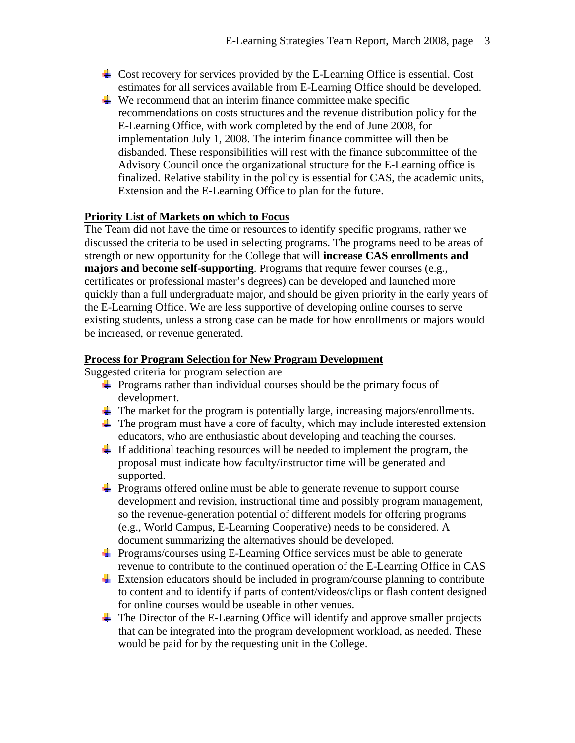- Cost recovery for services provided by the E-Learning Office is essential. Cost estimates for all services available from E-Learning Office should be developed.
- $\ddot{\text{I}}$  We recommend that an interim finance committee make specific recommendations on costs structures and the revenue distribution policy for the E-Learning Office, with work completed by the end of June 2008, for implementation July 1, 2008. The interim finance committee will then be disbanded. These responsibilities will rest with the finance subcommittee of the Advisory Council once the organizational structure for the E-Learning office is finalized. Relative stability in the policy is essential for CAS, the academic units, Extension and the E-Learning Office to plan for the future.

## **Priority List of Markets on which to Focus**

The Team did not have the time or resources to identify specific programs, rather we discussed the criteria to be used in selecting programs. The programs need to be areas of strength or new opportunity for the College that will **increase CAS enrollments and majors and become self-supporting**. Programs that require fewer courses (e.g., certificates or professional master's degrees) can be developed and launched more quickly than a full undergraduate major, and should be given priority in the early years of the E-Learning Office. We are less supportive of developing online courses to serve existing students, unless a strong case can be made for how enrollments or majors would be increased, or revenue generated.

### **Process for Program Selection for New Program Development**

Suggested criteria for program selection are

- $\div$  Programs rather than individual courses should be the primary focus of development.
- $\ddot{\text{I}}$  The market for the program is potentially large, increasing majors/enrollments.
- $\pm$  The program must have a core of faculty, which may include interested extension educators, who are enthusiastic about developing and teaching the courses.
- $\pm$  If additional teaching resources will be needed to implement the program, the proposal must indicate how faculty/instructor time will be generated and supported.
- $\overline{\text{4}}$  Programs offered online must be able to generate revenue to support course development and revision, instructional time and possibly program management, so the revenue-generation potential of different models for offering programs (e.g., World Campus, E-Learning Cooperative) needs to be considered. A document summarizing the alternatives should be developed.
- $\frac{1}{\sqrt{2}}$  Programs/courses using E-Learning Office services must be able to generate revenue to contribute to the continued operation of the E-Learning Office in CAS
- $\pm$  Extension educators should be included in program/course planning to contribute to content and to identify if parts of content/videos/clips or flash content designed for online courses would be useable in other venues.
- $\ddot{\text{I}}$  The Director of the E-Learning Office will identify and approve smaller projects that can be integrated into the program development workload, as needed. These would be paid for by the requesting unit in the College.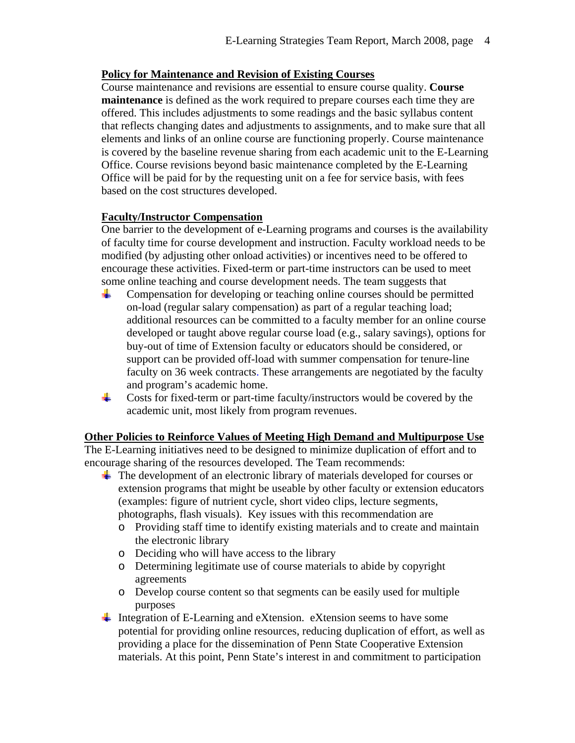### **Policy for Maintenance and Revision of Existing Courses**

Course maintenance and revisions are essential to ensure course quality. **Course maintenance** is defined as the work required to prepare courses each time they are offered. This includes adjustments to some readings and the basic syllabus content that reflects changing dates and adjustments to assignments, and to make sure that all elements and links of an online course are functioning properly. Course maintenance is covered by the baseline revenue sharing from each academic unit to the E-Learning Office. Course revisions beyond basic maintenance completed by the E-Learning Office will be paid for by the requesting unit on a fee for service basis, with fees based on the cost structures developed.

## **Faculty/Instructor Compensation**

One barrier to the development of e-Learning programs and courses is the availability of faculty time for course development and instruction. Faculty workload needs to be modified (by adjusting other onload activities) or incentives need to be offered to encourage these activities. Fixed-term or part-time instructors can be used to meet some online teaching and course development needs. The team suggests that

- ÷ Compensation for developing or teaching online courses should be permitted on-load (regular salary compensation) as part of a regular teaching load; additional resources can be committed to a faculty member for an online course developed or taught above regular course load (e.g., salary savings), options for buy-out of time of Extension faculty or educators should be considered, or support can be provided off-load with summer compensation for tenure-line faculty on 36 week contracts. These arrangements are negotiated by the faculty and program's academic home.
- ₩. Costs for fixed-term or part-time faculty/instructors would be covered by the academic unit, most likely from program revenues.

### **Other Policies to Reinforce Values of Meeting High Demand and Multipurpose Use**

The E-Learning initiatives need to be designed to minimize duplication of effort and to encourage sharing of the resources developed. The Team recommends:

- $\overline{\text{I}}$  The development of an electronic library of materials developed for courses or extension programs that might be useable by other faculty or extension educators (examples: figure of nutrient cycle, short video clips, lecture segments, photographs, flash visuals). Key issues with this recommendation are
	- o Providing staff time to identify existing materials and to create and maintain the electronic library
	- o Deciding who will have access to the library
	- o Determining legitimate use of course materials to abide by copyright agreements
	- o Develop course content so that segments can be easily used for multiple purposes
- Integration of E-Learning and eXtension. eXtension seems to have some potential for providing online resources, reducing duplication of effort, as well as providing a place for the dissemination of Penn State Cooperative Extension materials. At this point, Penn State's interest in and commitment to participation